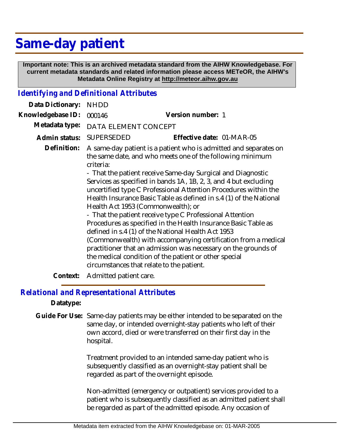## **Same-day patient**

 **Important note: This is an archived metadata standard from the AIHW Knowledgebase. For current metadata standards and related information please access METeOR, the AIHW's Metadata Online Registry at http://meteor.aihw.gov.au**

## *Identifying and Definitional Attributes*

| Data Dictionary:  | <b>NHDD</b>                                                                                                                                                                                                                                                                                                                                                                                                                                                                                                                                                                                                                                                                                                                                                                                                                                                                               |                           |
|-------------------|-------------------------------------------------------------------------------------------------------------------------------------------------------------------------------------------------------------------------------------------------------------------------------------------------------------------------------------------------------------------------------------------------------------------------------------------------------------------------------------------------------------------------------------------------------------------------------------------------------------------------------------------------------------------------------------------------------------------------------------------------------------------------------------------------------------------------------------------------------------------------------------------|---------------------------|
| Knowledgebase ID: | 000146                                                                                                                                                                                                                                                                                                                                                                                                                                                                                                                                                                                                                                                                                                                                                                                                                                                                                    | Version number: 1         |
| Metadata type:    | DATA ELEMENT CONCEPT                                                                                                                                                                                                                                                                                                                                                                                                                                                                                                                                                                                                                                                                                                                                                                                                                                                                      |                           |
| Admin status:     | <b>SUPERSEDED</b>                                                                                                                                                                                                                                                                                                                                                                                                                                                                                                                                                                                                                                                                                                                                                                                                                                                                         | Effective date: 01-MAR-05 |
| Definition:       | A same-day patient is a patient who is admitted and separates on<br>the same date, and who meets one of the following minimum<br>criteria:<br>- That the patient receive Same-day Surgical and Diagnostic<br>Services as specified in bands 1A, 1B, 2, 3, and 4 but excluding<br>uncertified type C Professional Attention Procedures within the<br>Health Insurance Basic Table as defined in s.4 (1) of the National<br>Health Act 1953 (Commonwealth); or<br>- That the patient receive type C Professional Attention<br>Procedures as specified in the Health Insurance Basic Table as<br>defined in s.4 (1) of the National Health Act 1953<br>(Commonwealth) with accompanying certification from a medical<br>practitioner that an admission was necessary on the grounds of<br>the medical condition of the patient or other special<br>circumstances that relate to the patient. |                           |
|                   |                                                                                                                                                                                                                                                                                                                                                                                                                                                                                                                                                                                                                                                                                                                                                                                                                                                                                           |                           |

**Context:** Admitted patient care.

## *Relational and Representational Attributes*

**Datatype:**

Guide For Use: Same-day patients may be either intended to be separated on the same day, or intended overnight-stay patients who left of their own accord, died or were transferred on their first day in the hospital.

> Treatment provided to an intended same-day patient who is subsequently classified as an overnight-stay patient shall be regarded as part of the overnight episode.

Non-admitted (emergency or outpatient) services provided to a patient who is subsequently classified as an admitted patient shall be regarded as part of the admitted episode. Any occasion of